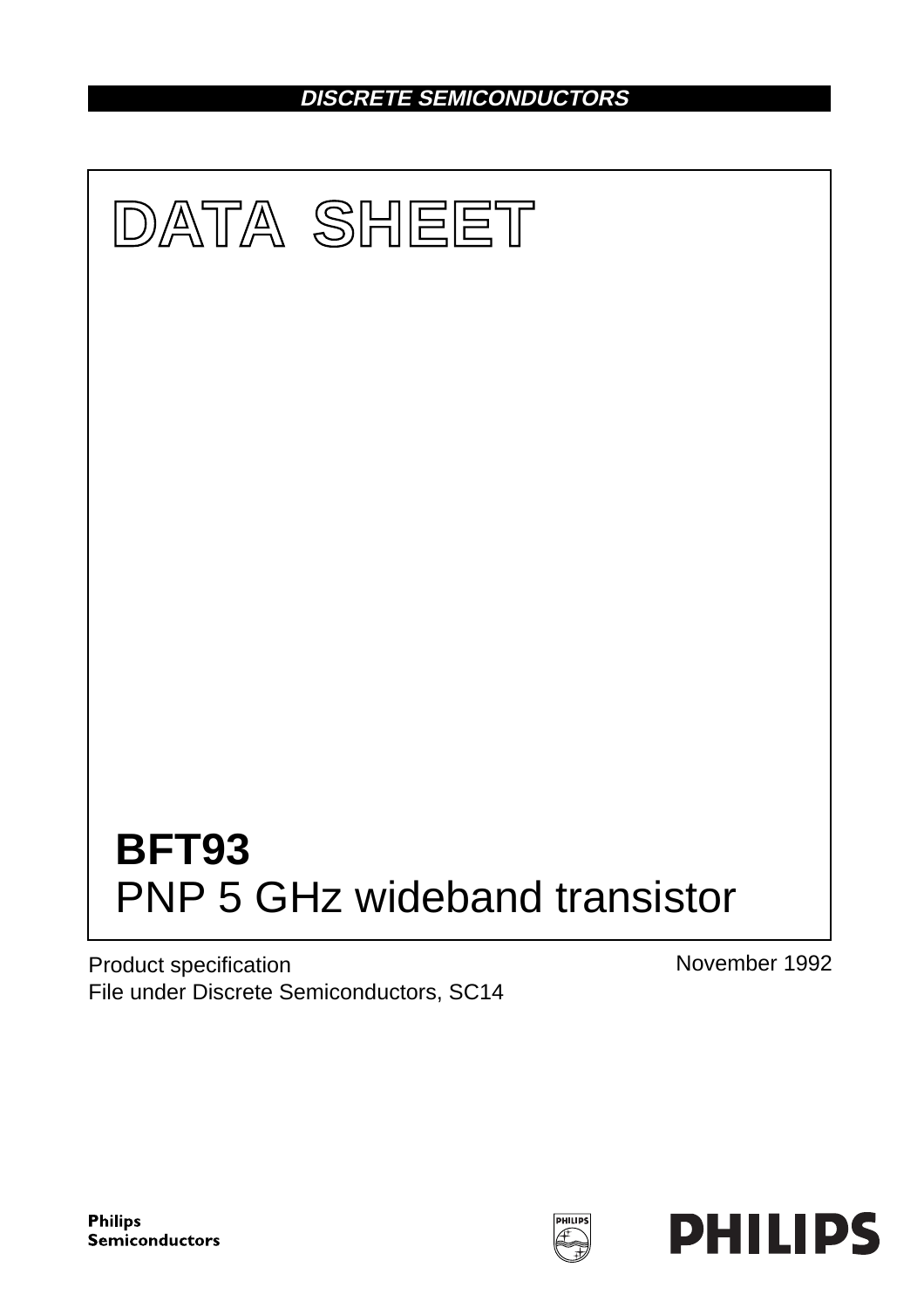**DISCRETE SEMICONDUCTORS**



Product specification File under Discrete Semiconductors, SC14 November 1992



PHILIPS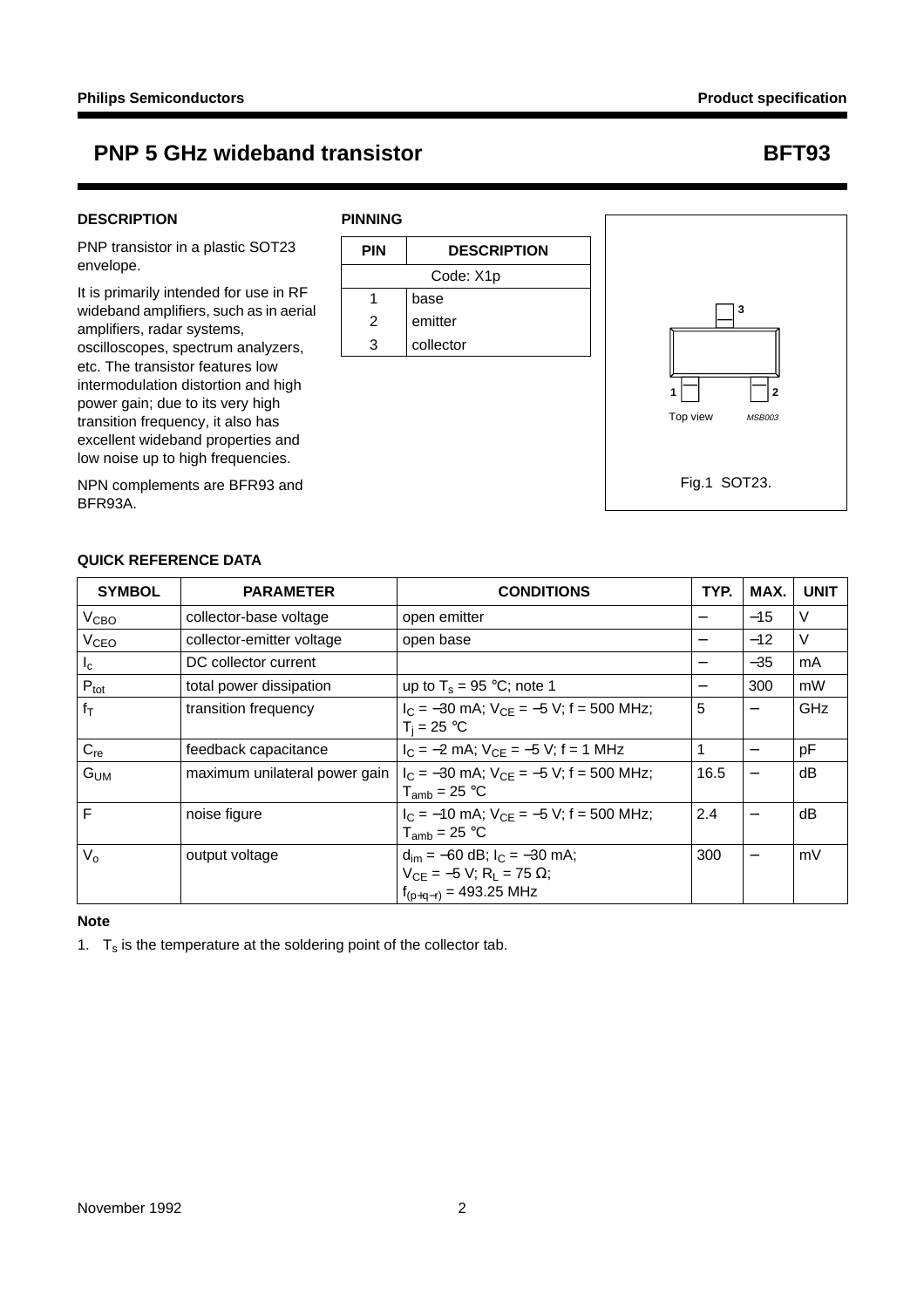## **DESCRIPTION**

PNP transistor in a plastic SOT23 envelope.

It is primarily intended for use in RF wideband amplifiers, such as in aerial amplifiers, radar systems, oscilloscopes, spectrum analyzers, etc. The transistor features low intermodulation distortion and high power gain; due to its very high transition frequency, it also has excellent wideband properties and low noise up to high frequencies.

NPN complements are BFR93 and BFR93A.



## **QUICK REFERENCE DATA**

| <b>SYMBOL</b>          | <b>PARAMETER</b>              | <b>CONDITIONS</b>                                                                                                                   | TYP. | MAX.                     | <b>UNIT</b> |
|------------------------|-------------------------------|-------------------------------------------------------------------------------------------------------------------------------------|------|--------------------------|-------------|
| V <sub>CBO</sub>       | collector-base voltage        | open emitter                                                                                                                        |      | $-15$                    | V           |
| <b>V<sub>CEO</sub></b> | collector-emitter voltage     | open base                                                                                                                           |      | $-12$                    | V           |
| $I_c$                  | DC collector current          |                                                                                                                                     |      | $-35$                    | mA          |
| $P_{\text{tot}}$       | total power dissipation       | up to $T_s = 95$ °C; note 1                                                                                                         |      | 300                      | mW          |
| $f_T$                  | transition frequency          | $I_C = -30$ mA; $V_{CF} = -5$ V; f = 500 MHz;<br>$T_i = 25 °C$                                                                      | 5    |                          | GHz         |
| $C_{re}$               | feedback capacitance          | $I_C = -2$ mA; $V_{CE} = -5$ V; f = 1 MHz                                                                                           | 1    | $\overline{\phantom{0}}$ | pF          |
| G <sub>UM</sub>        | maximum unilateral power gain | $I_C = -30$ mA; $V_{CE} = -5$ V; f = 500 MHz;<br>$T_{amb}$ = 25 °C                                                                  | 16.5 | $\overline{\phantom{0}}$ | dB          |
| F                      | noise figure                  | $I_C = -10$ mA; $V_{CF} = -5$ V; f = 500 MHz;<br>$T_{amb}$ = 25 °C                                                                  | 2.4  |                          | dB          |
| $V_{o}$                | output voltage                | $d_{\text{im}} = -60$ dB; $I_C = -30$ mA;<br>$V_{CF} = -5 V$ ; R <sub>1</sub> = 75 $\Omega$ ;<br>$f_{(p+q-r)} = 493.25 \text{ MHz}$ | 300  |                          | mV          |

### **Note**

1.  $T_s$  is the temperature at the soldering point of the collector tab.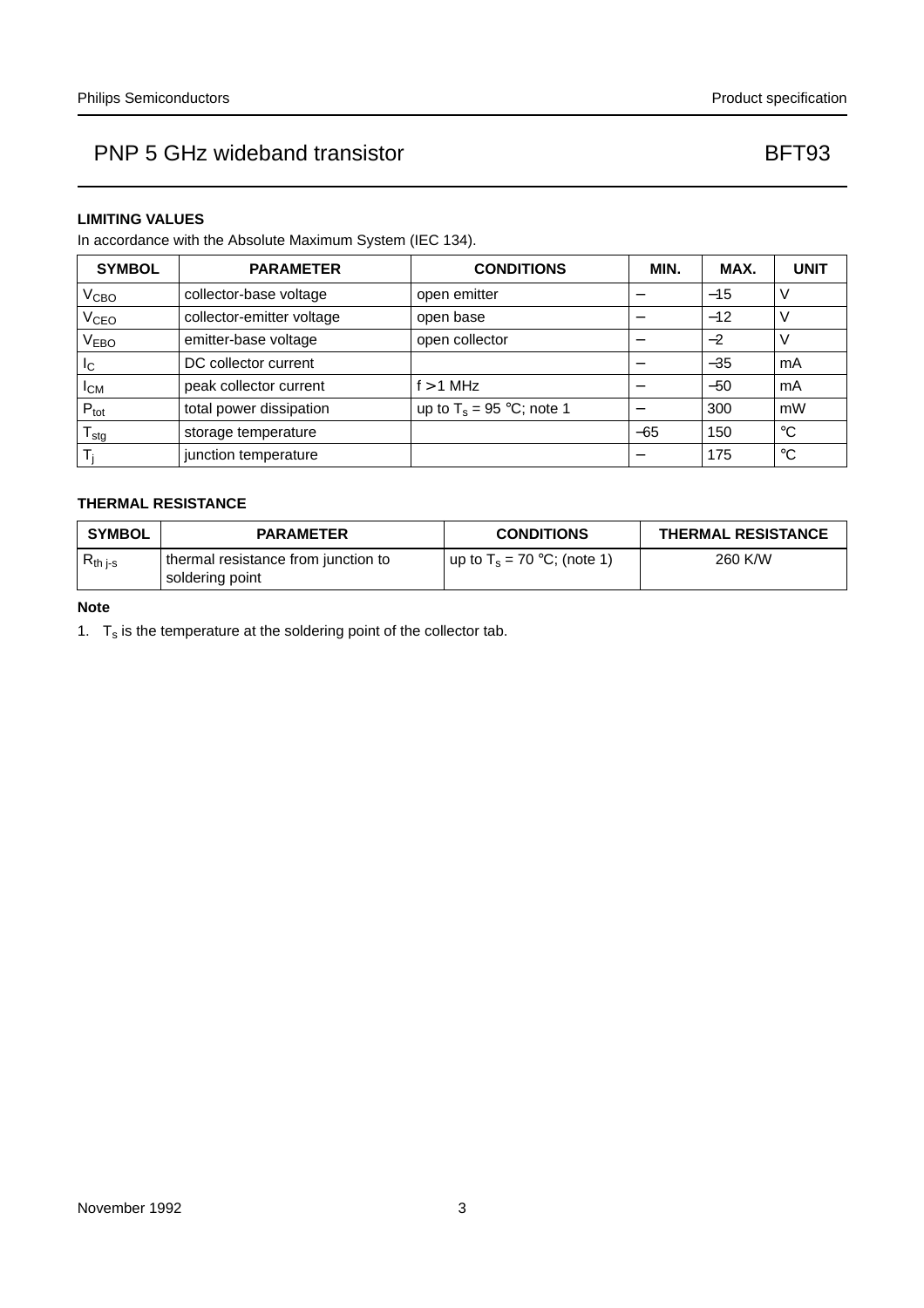## **LIMITING VALUES**

In accordance with the Absolute Maximum System (IEC 134).

| <b>SYMBOL</b>    | <b>PARAMETER</b>          | <b>CONDITIONS</b>           | MIN.                     | MAX.  | <b>UNIT</b> |
|------------------|---------------------------|-----------------------------|--------------------------|-------|-------------|
| V <sub>CBO</sub> | collector-base voltage    | open emitter                |                          | $-15$ | ∖           |
| V <sub>CEO</sub> | collector-emitter voltage | open base                   |                          | $-12$ | ν           |
| V <sub>EBO</sub> | emitter-base voltage      | open collector              |                          | $-2$  |             |
| $I_{\rm C}$      | DC collector current      |                             |                          | $-35$ | mA          |
| $I_{CM}$         | peak collector current    | $f > 1$ MHz                 |                          | $-50$ | mA          |
| $P_{\text{tot}}$ | total power dissipation   | up to $T_s = 95$ °C; note 1 |                          | 300   | mW          |
| stg              | storage temperature       |                             | $-65$                    | 150   | °C          |
|                  | junction temperature      |                             | $\overline{\phantom{m}}$ | 175   | °C          |

## **THERMAL RESISTANCE**

| <b>SYMBOL</b> | <b>PARAMETER</b>                                         | <b>CONDITIONS</b>             | <b>THERMAL RESISTANCE</b> |
|---------------|----------------------------------------------------------|-------------------------------|---------------------------|
| $R_{th i-s}$  | I thermal resistance from junction to<br>soldering point | up to $T_s = 70$ °C; (note 1) | 260 K/W                   |

## **Note**

1.  $T_s$  is the temperature at the soldering point of the collector tab.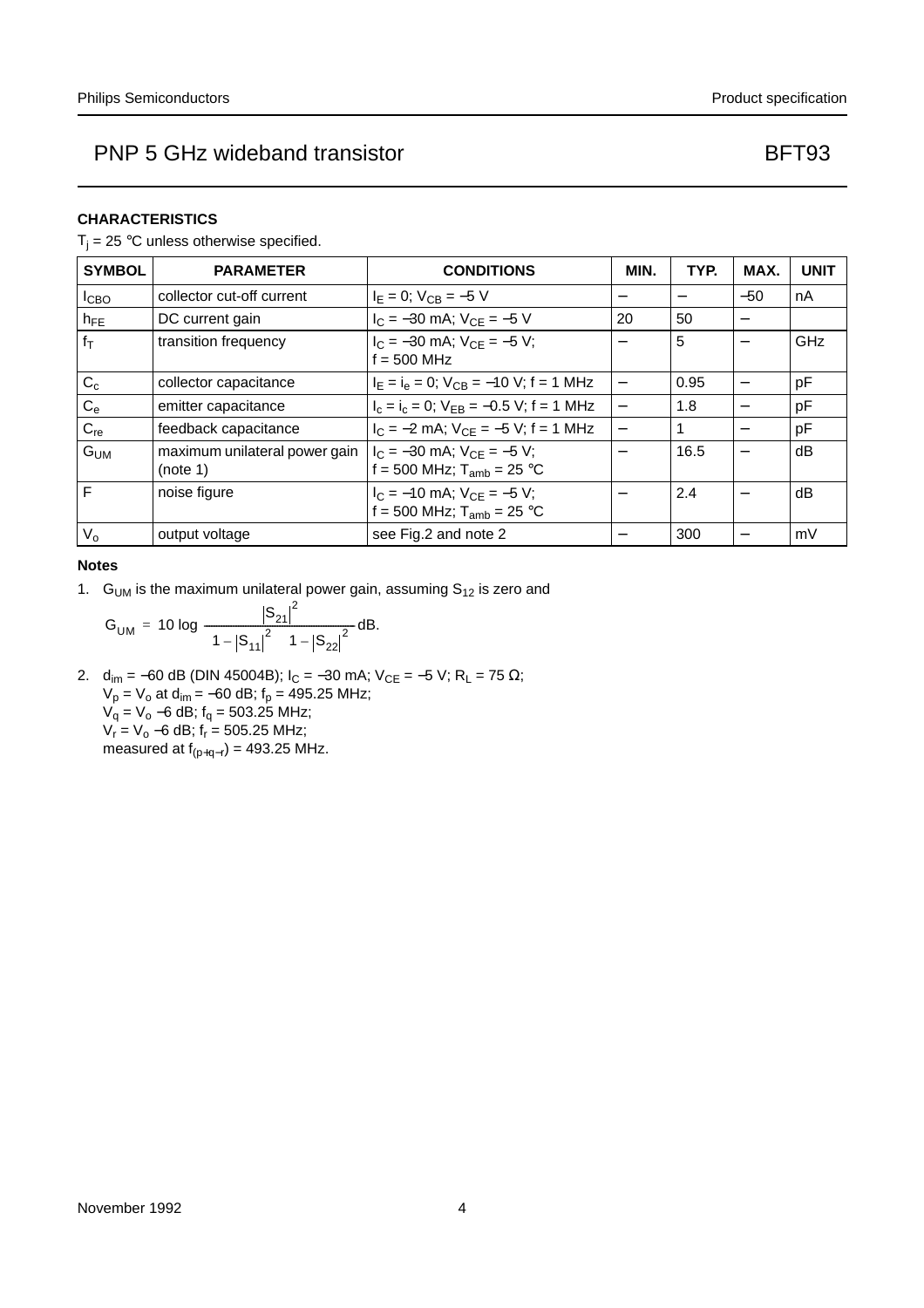## **CHARACTERISTICS**

 $T_j$  = 25 °C unless otherwise specified.

| <b>SYMBOL</b>   | <b>PARAMETER</b>                          | <b>CONDITIONS</b>                                                  | MIN. | TYP. | MAX.  | <b>UNIT</b> |
|-----------------|-------------------------------------------|--------------------------------------------------------------------|------|------|-------|-------------|
| ICBO            | collector cut-off current                 | $I_F = 0$ ; $V_{CB} = -5$ V                                        |      |      | $-50$ | nA          |
| $h_{FE}$        | DC current gain                           | $I_C = -30$ mA; $V_{CE} = -5$ V                                    | 20   | 50   |       |             |
| $f_T$           | transition frequency                      | $I_C = -30$ mA; $V_{CF} = -5$ V;<br>$f = 500$ MHz                  |      | 5    |       | <b>GHz</b>  |
| $C_c$           | collector capacitance                     | $I_E = I_e = 0$ ; $V_{CB} = -10$ V; f = 1 MHz                      |      | 0.95 |       | рF          |
| $C_{\rm e}$     | emitter capacitance                       | $I_c = I_c = 0$ ; $V_{FB} = -0.5$ V; f = 1 MHz                     |      | 1.8  |       | рF          |
| $C_{re}$        | feedback capacitance                      | $I_C = -2$ mA; $V_{CF} = -5$ V; f = 1 MHz                          |      |      |       | рF          |
| G <sub>UM</sub> | maximum unilateral power gain<br>(note 1) | $I_C = -30$ mA; $V_{CF} = -5$ V;<br>f = 500 MHz; $T_{amb}$ = 25 °C |      | 16.5 |       | dВ          |
| F               | noise figure                              | $I_C = -10$ mA; $V_{CF} = -5$ V;<br>f = 500 MHz; $T_{amb}$ = 25 °C |      | 2.4  |       | dВ          |
| $V_{o}$         | output voltage                            | see Fig.2 and note 2                                               |      | 300  |       | mV          |

### **Notes**

1. G<sub>UM</sub> is the maximum unilateral power gain, assuming  $S_{12}$  is zero and

$$
G_{UM} = 10 \text{ log } \frac{{{\left| {{S_{21}}} \right|}^2}}{{\left( {1 - {{\left| {{S_{11}}} \right|}^2}} \right)}{{\left( {1 - {{\left| {{S_{12}}} \right|}^2}} \right)}^d}B}.
$$

2. d<sub>im</sub> = −60 dB (DIN 45004B); l<sub>C</sub> = −30 mA; V<sub>CE</sub> = −5 V; R<sub>L</sub> = 75 Ω;  $V_p = V_o$  at d<sub>im</sub> = –60 dB; f<sub>p</sub> = 495.25 MHz;  $V_q$  =  $V_o$  −6 dB; f<sub>q</sub> = 503.25 MHz;  $V_r = V_o - 6$  dB;  $f_r = 505.25$  MHz; measured at  $f_{(p+q-r)} = 493.25$  MHz.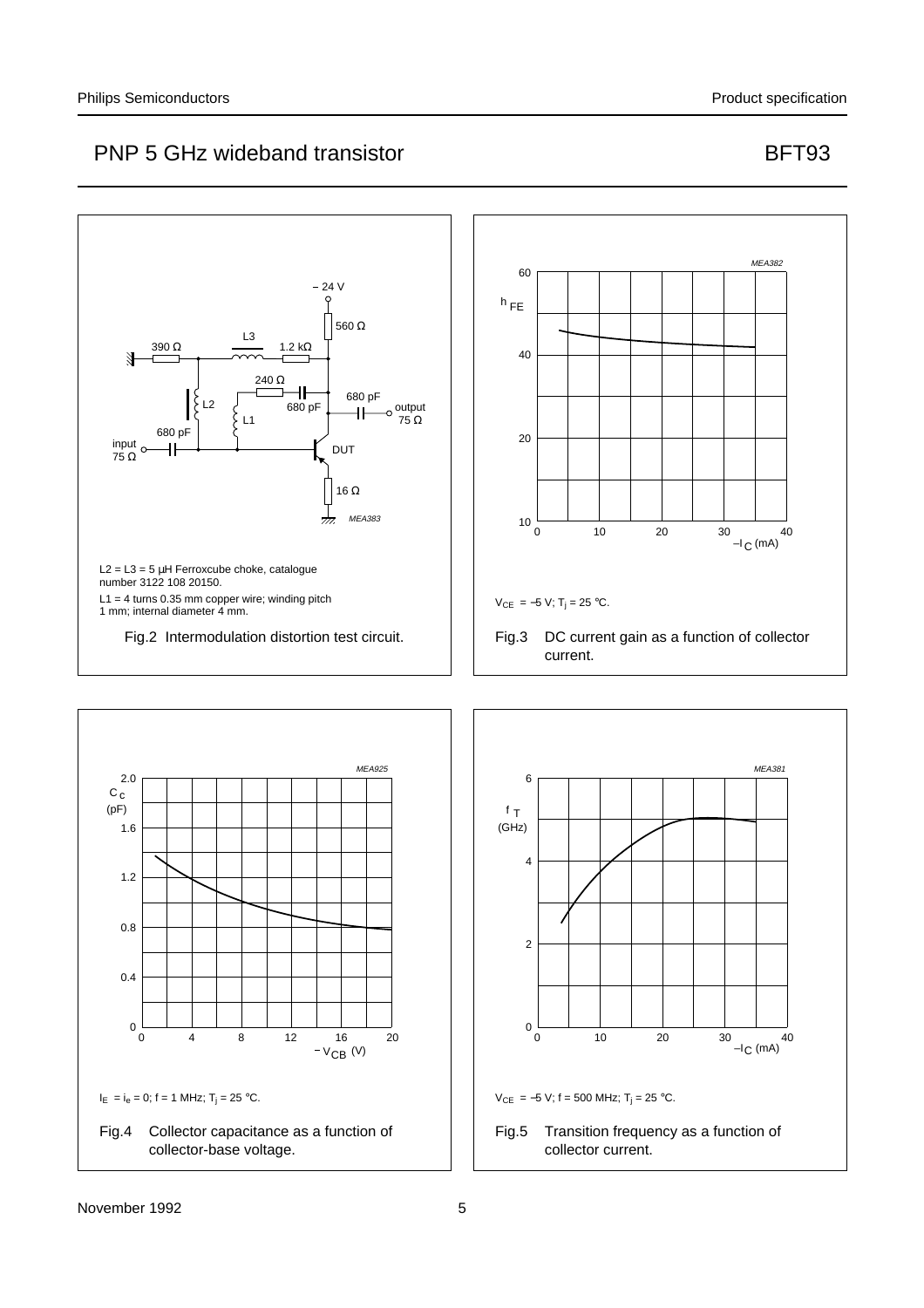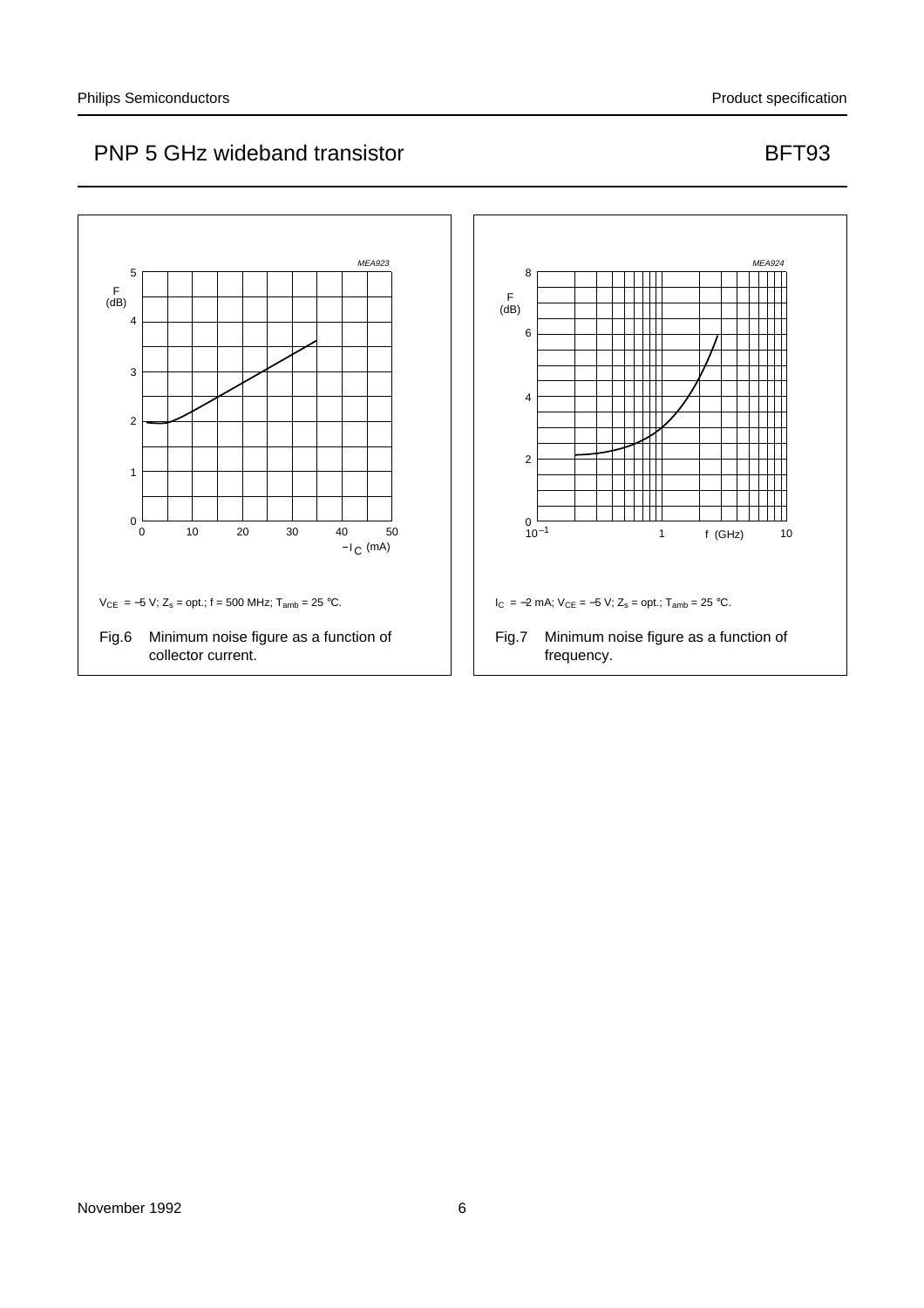

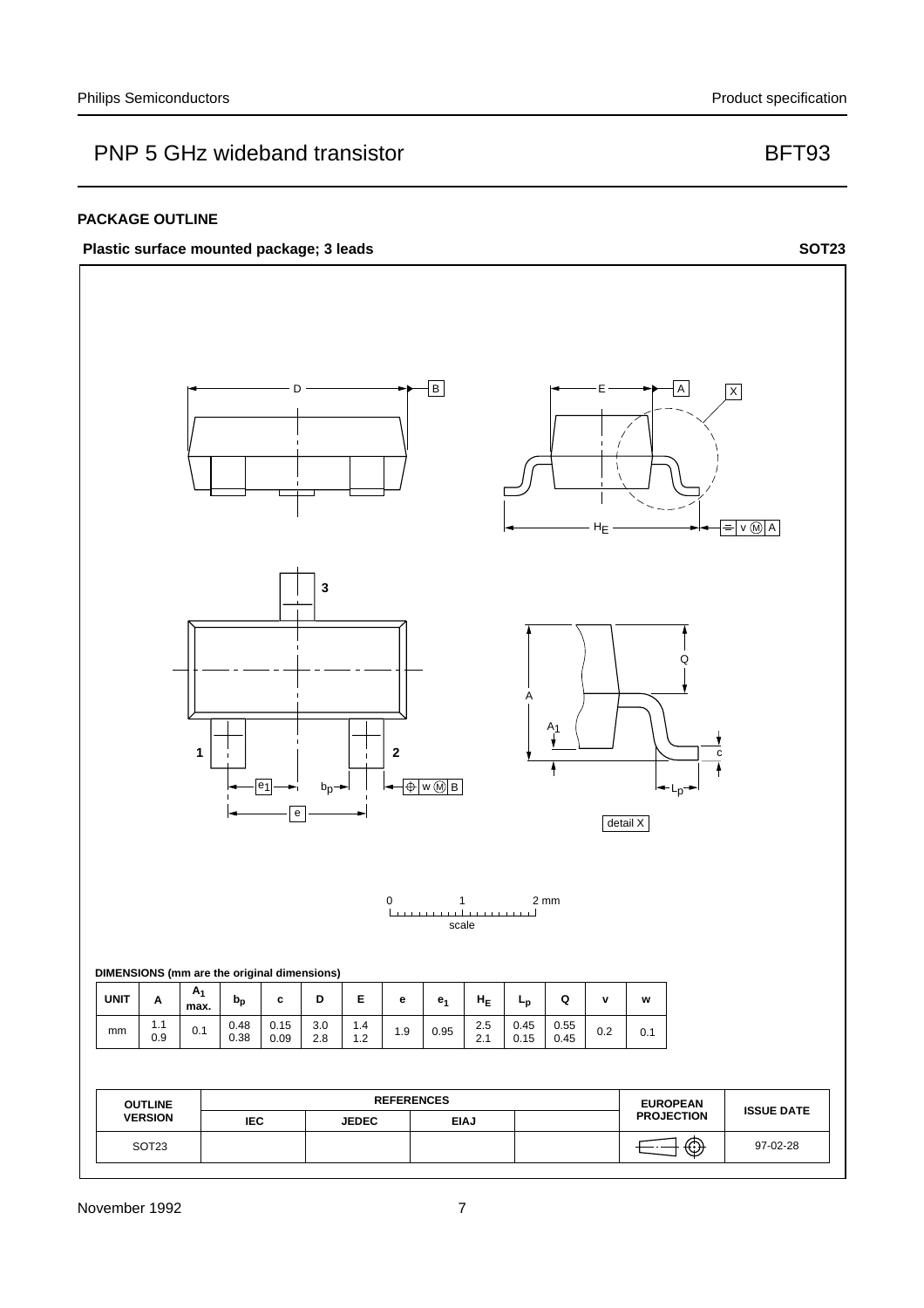## **PACKAGE OUTLINE**